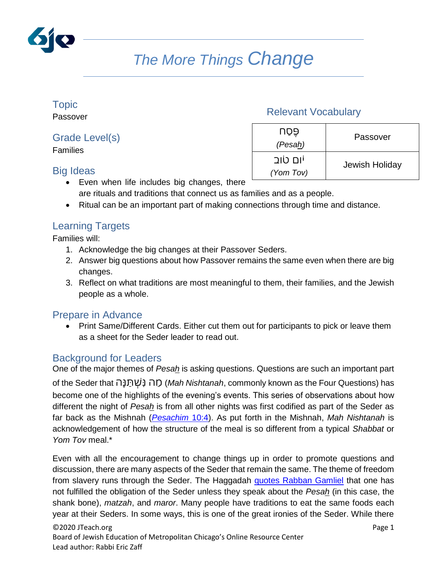

# *The More Things Change*

## Topic

Passover

### Grade Level(s)

Families

#### Big Ideas

#### Relevant Vocabulary

| UÕӚ<br>(Pesah)       | Passover       |
|----------------------|----------------|
| יום טוב<br>(Yom Tov) | Jewish Holiday |

- Even when life includes big changes, there are rituals and traditions that connect us as families and as a people.
- Ritual can be an important part of making connections through time and distance.

### Learning Targets

Families will:

- 1. Acknowledge the big changes at their Passover Seders.
- 2. Answer big questions about how Passover remains the same even when there are big changes.
- 3. Reflect on what traditions are most meaningful to them, their families, and the Jewish people as a whole.

#### Prepare in Advance

• Print Same/Different Cards. Either cut them out for participants to pick or leave them as a sheet for the Seder leader to read out.

#### Background for Leaders

One of the major themes of *Pesah* is asking questions. Questions are such an important part

of the Seder that הַ נַ תַ שַ נַהַ מ) *Mah Nishtanah*, commonly known as the Four Questions) has become one of the highlights of the evening's events. This series of observations about how different the night of *Pesah* is from all other nights was first codified as part of the Seder as far back as the Mishnah (*[Pesachim](https://www.sefaria.org/Mishnah_Pesachim.10.4?lang=bi&with=all&lang2=en)* 10:4). As put forth in the Mishnah, *Mah Nishtanah* is acknowledgement of how the structure of the meal is so different from a typical *Shabbat* or *Yom Tov* meal.\*

Even with all the encouragement to change things up in order to promote questions and discussion, there are many aspects of the Seder that remain the same. The theme of freedom from slavery runs through the Seder. The Haggadah [quotes Rabban Gamliel](https://www.sefaria.org/Pesach_Haggadah%2C_Magid%2C_Rabban_Gamliel) that one has not fulfilled the obligation of the Seder unless they speak about the *Pesah* (in this case, the shank bone), *matzah*, and *maror*. Many people have traditions to eat the same foods each year at their Seders. In some ways, this is one of the great ironies of the Seder. While there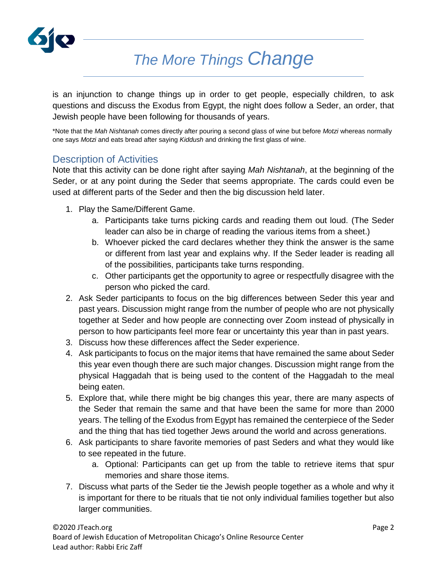

# *The More Things Change*

is an injunction to change things up in order to get people, especially children, to ask questions and discuss the Exodus from Egypt, the night does follow a Seder, an order, that Jewish people have been following for thousands of years.

\*Note that the *Mah Nishtanah* comes directly after pouring a second glass of wine but before *Motzi* whereas normally one says *Motzi* and eats bread after saying *Kiddush* and drinking the first glass of wine.

#### Description of Activities

Note that this activity can be done right after saying *Mah Nishtanah*, at the beginning of the Seder, or at any point during the Seder that seems appropriate. The cards could even be used at different parts of the Seder and then the big discussion held later.

- 1. Play the Same/Different Game.
	- a. Participants take turns picking cards and reading them out loud. (The Seder leader can also be in charge of reading the various items from a sheet.)
	- b. Whoever picked the card declares whether they think the answer is the same or different from last year and explains why. If the Seder leader is reading all of the possibilities, participants take turns responding.
	- c. Other participants get the opportunity to agree or respectfully disagree with the person who picked the card.
- 2. Ask Seder participants to focus on the big differences between Seder this year and past years. Discussion might range from the number of people who are not physically together at Seder and how people are connecting over Zoom instead of physically in person to how participants feel more fear or uncertainty this year than in past years.
- 3. Discuss how these differences affect the Seder experience.
- 4. Ask participants to focus on the major items that have remained the same about Seder this year even though there are such major changes. Discussion might range from the physical Haggadah that is being used to the content of the Haggadah to the meal being eaten.
- 5. Explore that, while there might be big changes this year, there are many aspects of the Seder that remain the same and that have been the same for more than 2000 years. The telling of the Exodus from Egypt has remained the centerpiece of the Seder and the thing that has tied together Jews around the world and across generations.
- 6. Ask participants to share favorite memories of past Seders and what they would like to see repeated in the future.
	- a. Optional: Participants can get up from the table to retrieve items that spur memories and share those items.
- 7. Discuss what parts of the Seder tie the Jewish people together as a whole and why it is important for there to be rituals that tie not only individual families together but also larger communities.